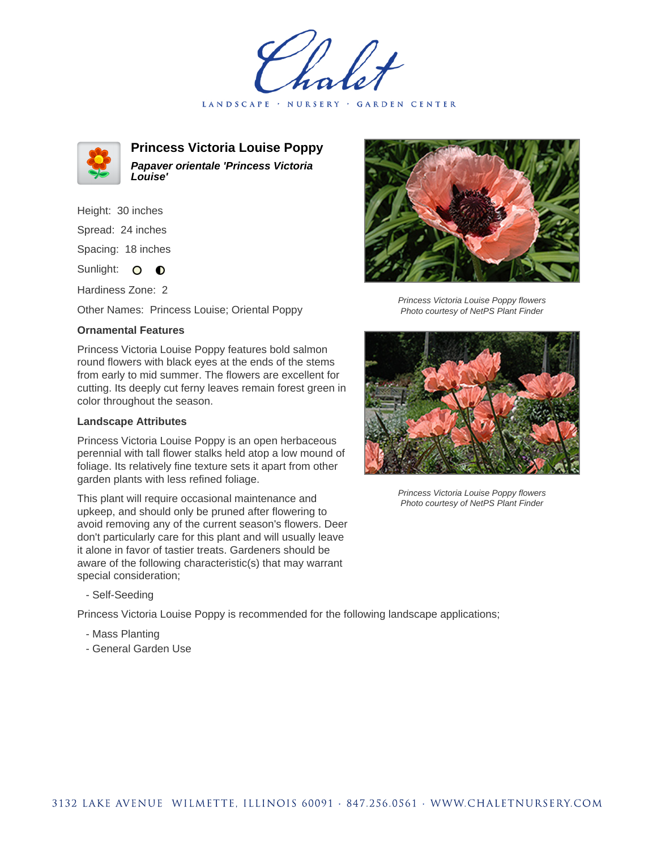LANDSCAPE · NURSERY · GARDEN CENTER



**Princess Victoria Louise Poppy Papaver orientale 'Princess Victoria Louise'**

Height: 30 inches Spread: 24 inches Spacing: 18 inches

Sunlight: O **O** 

Hardiness Zone: 2

Other Names: Princess Louise; Oriental Poppy

## **Ornamental Features**

Princess Victoria Louise Poppy features bold salmon round flowers with black eyes at the ends of the stems from early to mid summer. The flowers are excellent for cutting. Its deeply cut ferny leaves remain forest green in color throughout the season.

## **Landscape Attributes**

Princess Victoria Louise Poppy is an open herbaceous perennial with tall flower stalks held atop a low mound of foliage. Its relatively fine texture sets it apart from other garden plants with less refined foliage.

This plant will require occasional maintenance and upkeep, and should only be pruned after flowering to avoid removing any of the current season's flowers. Deer don't particularly care for this plant and will usually leave it alone in favor of tastier treats. Gardeners should be aware of the following characteristic(s) that may warrant special consideration;

- Self-Seeding

Princess Victoria Louise Poppy is recommended for the following landscape applications;

- Mass Planting
- General Garden Use



Princess Victoria Louise Poppy flowers Photo courtesy of NetPS Plant Finder



Princess Victoria Louise Poppy flowers Photo courtesy of NetPS Plant Finder